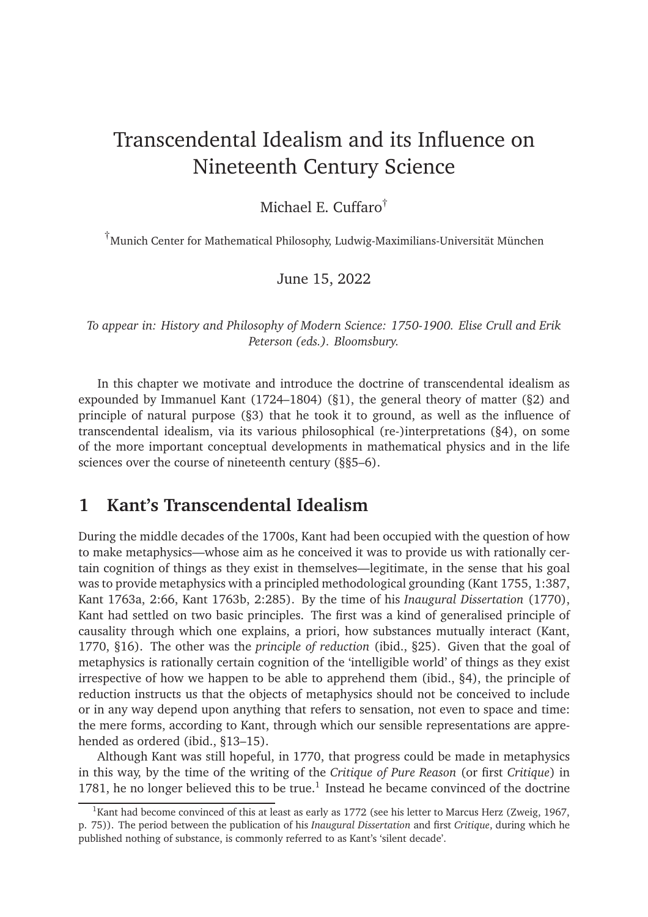# Transcendental Idealism and its Influence on Nineteenth Century Science

#### Michael E. Cuffaro†

†Munich Center for Mathematical Philosophy, Ludwig-Maximilians-Universität München

#### June 15, 2022

*To appear in: History and Philosophy of Modern Science: 1750-1900. Elise Crull and Erik Peterson (eds.). Bloomsbury.*

In this chapter we motivate and introduce the doctrine of transcendental idealism as expounded by Immanuel Kant (1724–1804) ([§1\)](#page-0-0), the general theory of matter ([§2\)](#page-2-0) and principle of natural purpose ([§3\)](#page-4-0) that he took it to ground, as well as the influence of transcendental idealism, via its various philosophical (re-)interpretations ([§4\)](#page-6-0), on some of the more important conceptual developments in mathematical physics and in the life sciences over the course of nineteenth century (§[§5](#page-8-0)[–6\)](#page-10-0).

#### <span id="page-0-0"></span>**1 Kant's Transcendental Idealism**

During the middle decades of the 1700s, Kant had been occupied with the question of how to make metaphysics—whose aim as he conceived it was to provide us with rationally certain cognition of things as they exist in themselves—legitimate, in the sense that his goal was to provide metaphysics with a principled methodological grounding [\(Kant 1755](#page-13-0), 1:387, [Kant 1763a](#page-13-1), 2:66, [Kant 1763b](#page-13-2), 2:285). By the time of his *Inaugural Dissertation* (1770), Kant had settled on two basic principles. The first was a kind of generalised principle of causality through which one explains, a priori, how substances mutually interact [\(Kant,](#page-13-3) [1770](#page-13-3), §16). The other was the *principle of reduction* (ibid., §25). Given that the goal of metaphysics is rationally certain cognition of the 'intelligible world' of things as they exist irrespective of how we happen to be able to apprehend them (ibid., §4), the principle of reduction instructs us that the objects of metaphysics should not be conceived to include or in any way depend upon anything that refers to sensation, not even to space and time: the mere forms, according to Kant, through which our sensible representations are apprehended as ordered (ibid., §13–15).

Although Kant was still hopeful, in 1770, that progress could be made in metaphysics in this way, by the time of the writing of the *Critique of Pure Reason* (or first *Critique*) in [1](#page-0-1)781, he no longer believed this to be true. $<sup>1</sup>$  Instead he became convinced of the doctrine</sup>

<span id="page-0-1"></span><sup>&</sup>lt;sup>1</sup>Kant had become convinced of this at least as early as 1772 (see his letter to Marcus Herz [\(Zweig](#page-15-0), [1967](#page-15-0), p. 75)). The period between the publication of his *Inaugural Dissertation* and first *Critique*, during which he published nothing of substance, is commonly referred to as Kant's 'silent decade'.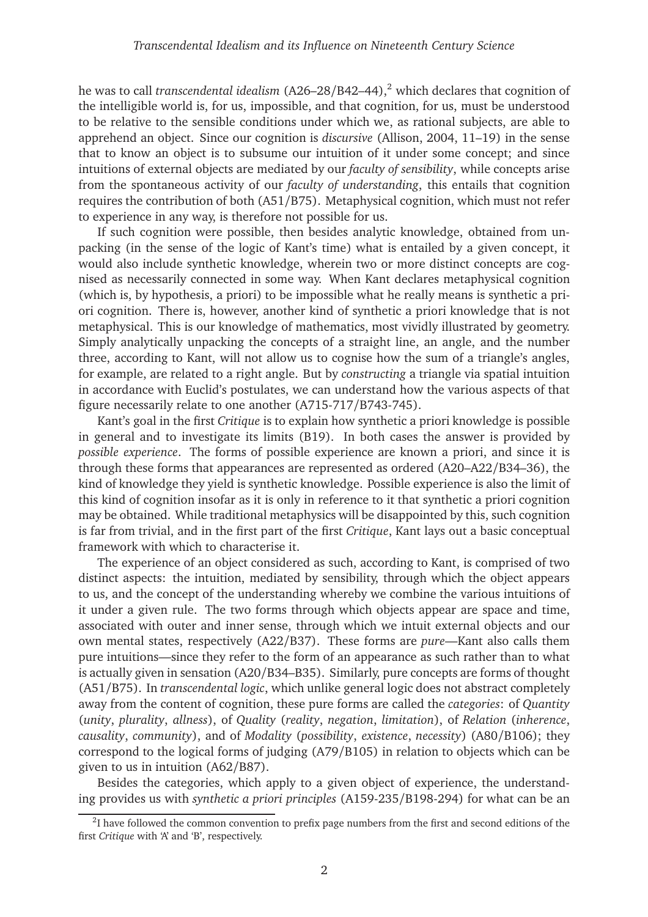he was to call *transcendental idealism* (A[2](#page-1-0)6–28/B42–44),<sup>2</sup> which declares that cognition of the intelligible world is, for us, impossible, and that cognition, for us, must be understood to be relative to the sensible conditions under which we, as rational subjects, are able to apprehend an object. Since our cognition is *discursive* [\(Allison](#page-12-0), [2004](#page-12-0), 11–19) in the sense that to know an object is to subsume our intuition of it under some concept; and since intuitions of external objects are mediated by our *faculty of sensibility*, while concepts arise from the spontaneous activity of our *faculty of understanding*, this entails that cognition requires the contribution of both (A51/B75). Metaphysical cognition, which must not refer to experience in any way, is therefore not possible for us.

If such cognition were possible, then besides analytic knowledge, obtained from unpacking (in the sense of the logic of Kant's time) what is entailed by a given concept, it would also include synthetic knowledge, wherein two or more distinct concepts are cognised as necessarily connected in some way. When Kant declares metaphysical cognition (which is, by hypothesis, a priori) to be impossible what he really means is synthetic a priori cognition. There is, however, another kind of synthetic a priori knowledge that is not metaphysical. This is our knowledge of mathematics, most vividly illustrated by geometry. Simply analytically unpacking the concepts of a straight line, an angle, and the number three, according to Kant, will not allow us to cognise how the sum of a triangle's angles, for example, are related to a right angle. But by *constructing* a triangle via spatial intuition in accordance with Euclid's postulates, we can understand how the various aspects of that figure necessarily relate to one another (A715-717/B743-745).

Kant's goal in the first *Critique* is to explain how synthetic a priori knowledge is possible in general and to investigate its limits (B19). In both cases the answer is provided by *possible experience*. The forms of possible experience are known a priori, and since it is through these forms that appearances are represented as ordered (A20–A22/B34–36), the kind of knowledge they yield is synthetic knowledge. Possible experience is also the limit of this kind of cognition insofar as it is only in reference to it that synthetic a priori cognition may be obtained. While traditional metaphysics will be disappointed by this, such cognition is far from trivial, and in the first part of the first *Critique*, Kant lays out a basic conceptual framework with which to characterise it.

The experience of an object considered as such, according to Kant, is comprised of two distinct aspects: the intuition, mediated by sensibility, through which the object appears to us, and the concept of the understanding whereby we combine the various intuitions of it under a given rule. The two forms through which objects appear are space and time, associated with outer and inner sense, through which we intuit external objects and our own mental states, respectively (A22/B37). These forms are *pure*—Kant also calls them pure intuitions—since they refer to the form of an appearance as such rather than to what is actually given in sensation (A20/B34–B35). Similarly, pure concepts are forms of thought (A51/B75). In *transcendental logic*, which unlike general logic does not abstract completely away from the content of cognition, these pure forms are called the *categories*: of *Quantity* (*unity*, *plurality*, *allness*), of *Quality* (*reality*, *negation*, *limitation*), of *Relation* (*inherence*, *causality*, *community*), and of *Modality* (*possibility*, *existence*, *necessity*) (A80/B106); they correspond to the logical forms of judging (A79/B105) in relation to objects which can be given to us in intuition (A62/B87).

Besides the categories, which apply to a given object of experience, the understanding provides us with *synthetic a priori principles* (A159-235/B198-294) for what can be an

<span id="page-1-0"></span> $2$ I have followed the common convention to prefix page numbers from the first and second editions of the first *Critique* with 'A' and 'B', respectively.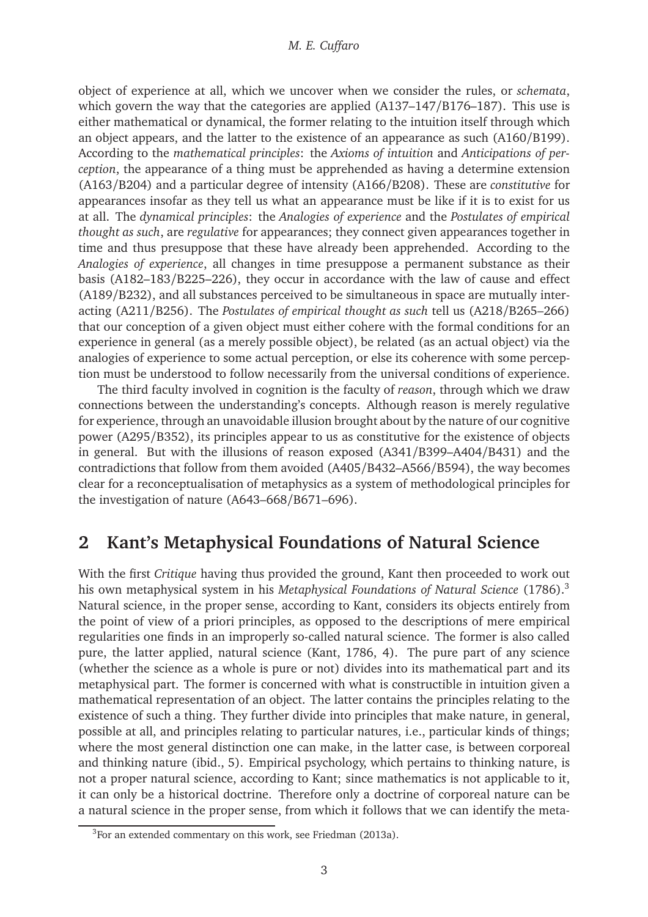object of experience at all, which we uncover when we consider the rules, or *schemata*, which govern the way that the categories are applied (A137–147/B176–187). This use is either mathematical or dynamical, the former relating to the intuition itself through which an object appears, and the latter to the existence of an appearance as such (A160/B199). According to the *mathematical principles*: the *Axioms of intuition* and *Anticipations of perception*, the appearance of a thing must be apprehended as having a determine extension (A163/B204) and a particular degree of intensity (A166/B208). These are *constitutive* for appearances insofar as they tell us what an appearance must be like if it is to exist for us at all. The *dynamical principles*: the *Analogies of experience* and the *Postulates of empirical thought as such*, are *regulative* for appearances; they connect given appearances together in time and thus presuppose that these have already been apprehended. According to the *Analogies of experience*, all changes in time presuppose a permanent substance as their basis (A182–183/B225–226), they occur in accordance with the law of cause and effect (A189/B232), and all substances perceived to be simultaneous in space are mutually interacting (A211/B256). The *Postulates of empirical thought as such* tell us (A218/B265–266) that our conception of a given object must either cohere with the formal conditions for an experience in general (as a merely possible object), be related (as an actual object) via the analogies of experience to some actual perception, or else its coherence with some perception must be understood to follow necessarily from the universal conditions of experience.

The third faculty involved in cognition is the faculty of *reason*, through which we draw connections between the understanding's concepts. Although reason is merely regulative for experience, through an unavoidable illusion brought about by the nature of our cognitive power (A295/B352), its principles appear to us as constitutive for the existence of objects in general. But with the illusions of reason exposed (A341/B399–A404/B431) and the contradictions that follow from them avoided (A405/B432–A566/B594), the way becomes clear for a reconceptualisation of metaphysics as a system of methodological principles for the investigation of nature (A643–668/B671–696).

# <span id="page-2-0"></span>**2 Kant's Metaphysical Foundations of Natural Science**

With the first *Critique* having thus provided the ground, Kant then proceeded to work out his own metaphysical system in his *Metaphysical Foundations of Natural Science* (1786).[3](#page-2-1) Natural science, in the proper sense, according to Kant, considers its objects entirely from the point of view of a priori principles, as opposed to the descriptions of mere empirical regularities one finds in an improperly so-called natural science. The former is also called pure, the latter applied, natural science [\(Kant](#page-14-0), [1786,](#page-14-0) 4). The pure part of any science (whether the science as a whole is pure or not) divides into its mathematical part and its metaphysical part. The former is concerned with what is constructible in intuition given a mathematical representation of an object. The latter contains the principles relating to the existence of such a thing. They further divide into principles that make nature, in general, possible at all, and principles relating to particular natures, i.e., particular kinds of things; where the most general distinction one can make, in the latter case, is between corporeal and thinking nature (ibid., 5). Empirical psychology, which pertains to thinking nature, is not a proper natural science, according to Kant; since mathematics is not applicable to it, it can only be a historical doctrine. Therefore only a doctrine of corporeal nature can be a natural science in the proper sense, from which it follows that we can identify the meta-

<span id="page-2-1"></span> $3$ For an extended commentary on this work, see [Friedman](#page-13-4) [\(2013a\)](#page-13-4).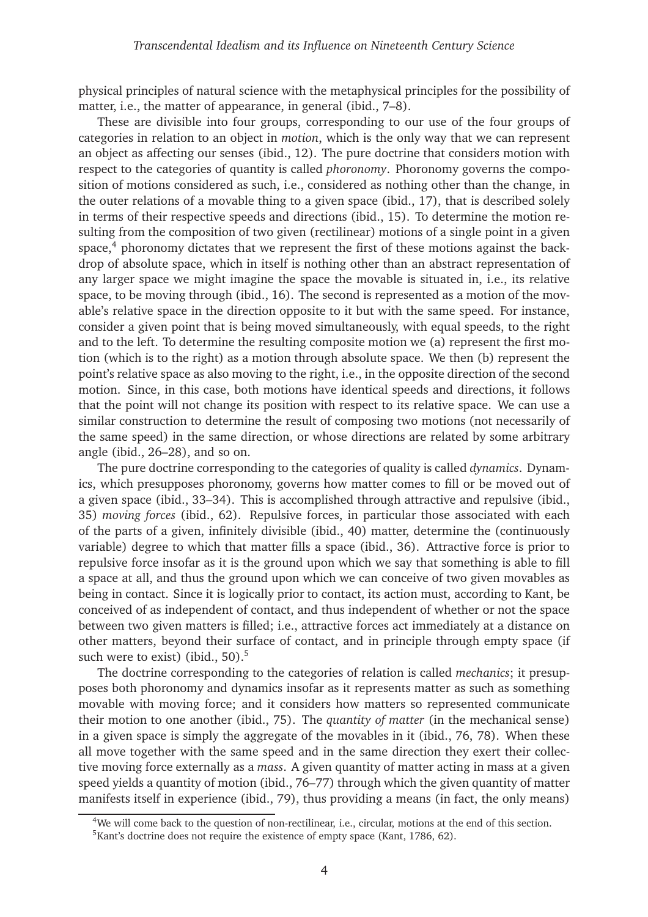physical principles of natural science with the metaphysical principles for the possibility of matter, i.e., the matter of appearance, in general (ibid., 7–8).

These are divisible into four groups, corresponding to our use of the four groups of categories in relation to an object in *motion*, which is the only way that we can represent an object as affecting our senses (ibid., 12). The pure doctrine that considers motion with respect to the categories of quantity is called *phoronomy*. Phoronomy governs the composition of motions considered as such, i.e., considered as nothing other than the change, in the outer relations of a movable thing to a given space (ibid., 17), that is described solely in terms of their respective speeds and directions (ibid., 15). To determine the motion resulting from the composition of two given (rectilinear) motions of a single point in a given space, $4$  phoronomy dictates that we represent the first of these motions against the backdrop of absolute space, which in itself is nothing other than an abstract representation of any larger space we might imagine the space the movable is situated in, i.e., its relative space, to be moving through (ibid., 16). The second is represented as a motion of the movable's relative space in the direction opposite to it but with the same speed. For instance, consider a given point that is being moved simultaneously, with equal speeds, to the right and to the left. To determine the resulting composite motion we (a) represent the first motion (which is to the right) as a motion through absolute space. We then (b) represent the point's relative space as also moving to the right, i.e., in the opposite direction of the second motion. Since, in this case, both motions have identical speeds and directions, it follows that the point will not change its position with respect to its relative space. We can use a similar construction to determine the result of composing two motions (not necessarily of the same speed) in the same direction, or whose directions are related by some arbitrary angle (ibid., 26–28), and so on.

The pure doctrine corresponding to the categories of quality is called *dynamics*. Dynamics, which presupposes phoronomy, governs how matter comes to fill or be moved out of a given space (ibid., 33–34). This is accomplished through attractive and repulsive (ibid., 35) *moving forces* (ibid., 62). Repulsive forces, in particular those associated with each of the parts of a given, infinitely divisible (ibid., 40) matter, determine the (continuously variable) degree to which that matter fills a space (ibid., 36). Attractive force is prior to repulsive force insofar as it is the ground upon which we say that something is able to fill a space at all, and thus the ground upon which we can conceive of two given movables as being in contact. Since it is logically prior to contact, its action must, according to Kant, be conceived of as independent of contact, and thus independent of whether or not the space between two given matters is filled; i.e., attractive forces act immediately at a distance on other matters, beyond their surface of contact, and in principle through empty space (if such were to exist) (ibid.,  $50$  $50$ ).<sup>5</sup>

The doctrine corresponding to the categories of relation is called *mechanics*; it presupposes both phoronomy and dynamics insofar as it represents matter as such as something movable with moving force; and it considers how matters so represented communicate their motion to one another (ibid., 75). The *quantity of matter* (in the mechanical sense) in a given space is simply the aggregate of the movables in it (ibid., 76, 78). When these all move together with the same speed and in the same direction they exert their collective moving force externally as a *mass*. A given quantity of matter acting in mass at a given speed yields a quantity of motion (ibid., 76–77) through which the given quantity of matter manifests itself in experience (ibid., 79), thus providing a means (in fact, the only means)

<sup>&</sup>lt;sup>4</sup>We will come back to the question of non-rectilinear, i.e., circular, motions at the end of this section.

<span id="page-3-1"></span><span id="page-3-0"></span><sup>&</sup>lt;sup>5</sup>Kant's doctrine does not require the existence of empty space [\(Kant](#page-14-0), [1786,](#page-14-0) 62).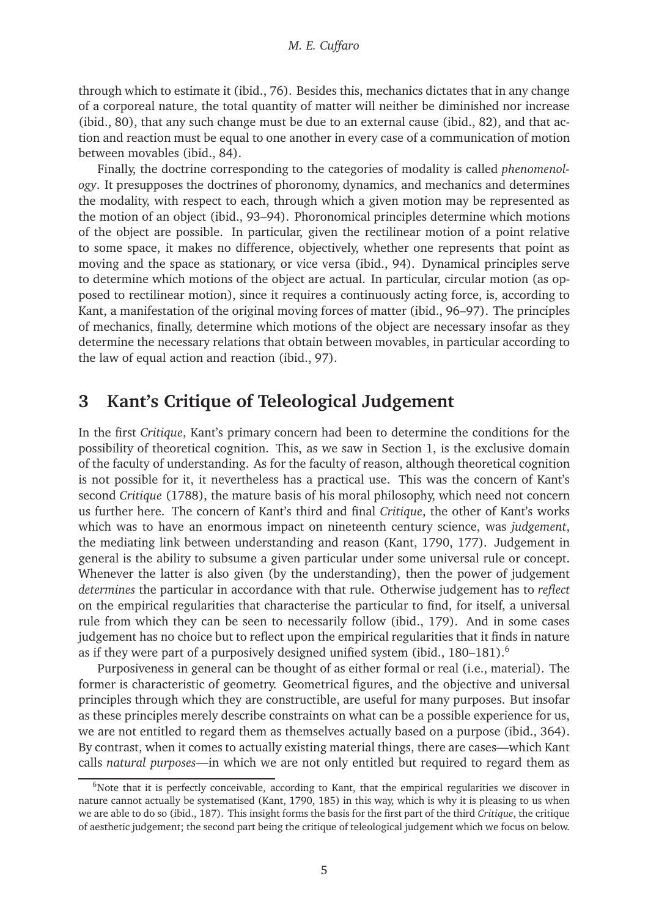through which to estimate it (ibid., 76). Besides this, mechanics dictates that in any change of a corporeal nature, the total quantity of matter will neither be diminished nor increase (ibid., 80), that any such change must be due to an external cause (ibid., 82), and that action and reaction must be equal to one another in every case of a communication of motion between movables (ibid., 84).

Finally, the doctrine corresponding to the categories of modality is called *phenomenology*. It presupposes the doctrines of phoronomy, dynamics, and mechanics and determines the modality, with respect to each, through which a given motion may be represented as the motion of an object (ibid., 93–94). Phoronomical principles determine which motions of the object are possible. In particular, given the rectilinear motion of a point relative to some space, it makes no difference, objectively, whether one represents that point as moving and the space as stationary, or vice versa (ibid., 94). Dynamical principles serve to determine which motions of the object are actual. In particular, circular motion (as opposed to rectilinear motion), since it requires a continuously acting force, is, according to Kant, a manifestation of the original moving forces of matter (ibid., 96–97). The principles of mechanics, finally, determine which motions of the object are necessary insofar as they determine the necessary relations that obtain between movables, in particular according to the law of equal action and reaction (ibid., 97).

## <span id="page-4-0"></span>**3 Kant's Critique of Teleological Judgement**

In the first *Critique*, Kant's primary concern had been to determine the conditions for the possibility of theoretical cognition. This, as we saw in Section [1,](#page-0-0) is the exclusive domain of the faculty of understanding. As for the faculty of reason, although theoretical cognition is not possible for it, it nevertheless has a practical use. This was the concern of Kant's second *Critique* (1788), the mature basis of his moral philosophy, which need not concern us further here. The concern of Kant's third and final *Critique*, the other of Kant's works which was to have an enormous impact on nineteenth century science, was *judgement*, the mediating link between understanding and reason [\(Kant](#page-14-1), [1790,](#page-14-1) 177). Judgement in general is the ability to subsume a given particular under some universal rule or concept. Whenever the latter is also given (by the understanding), then the power of judgement *determines* the particular in accordance with that rule. Otherwise judgement has to *reflect* on the empirical regularities that characterise the particular to find, for itself, a universal rule from which they can be seen to necessarily follow (ibid., 179). And in some cases judgement has no choice but to reflect upon the empirical regularities that it finds in nature as if they were part of a purposively designed unified system (ibid.,  $180-181$ ).<sup>[6](#page-4-1)</sup>

Purposiveness in general can be thought of as either formal or real (i.e., material). The former is characteristic of geometry. Geometrical figures, and the objective and universal principles through which they are constructible, are useful for many purposes. But insofar as these principles merely describe constraints on what can be a possible experience for us, we are not entitled to regard them as themselves actually based on a purpose (ibid., 364). By contrast, when it comes to actually existing material things, there are cases—which Kant calls *natural purposes*—in which we are not only entitled but required to regard them as

<span id="page-4-1"></span> $6N$ ote that it is perfectly conceivable, according to Kant, that the empirical regularities we discover in nature cannot actually be systematised [\(Kant](#page-14-1), [1790,](#page-14-1) 185) in this way, which is why it is pleasing to us when we are able to do so (ibid., 187). This insight forms the basis for the first part of the third *Critique*, the critique of aesthetic judgement; the second part being the critique of teleological judgement which we focus on below.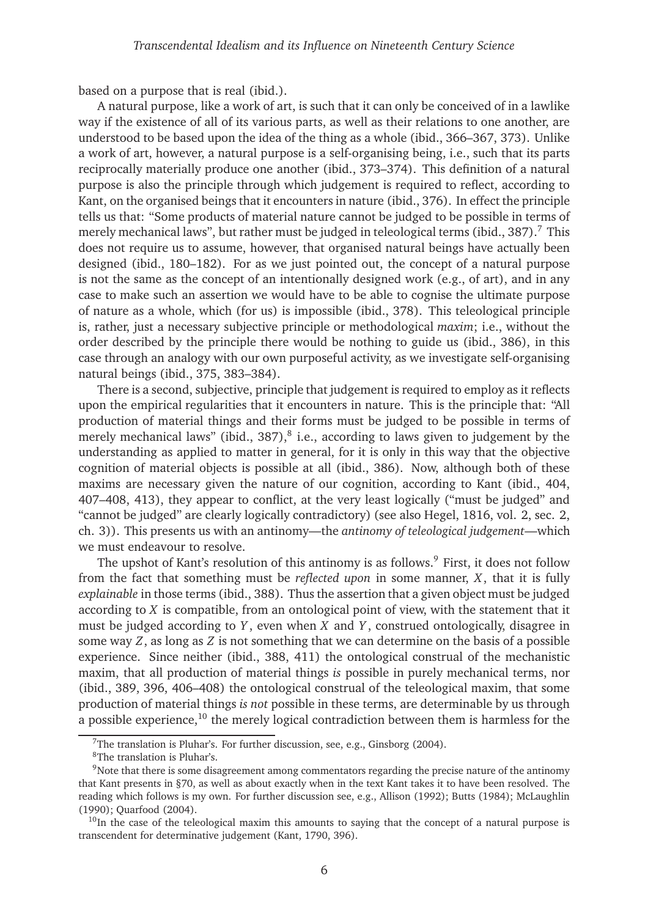based on a purpose that is real (ibid.).

A natural purpose, like a work of art, is such that it can only be conceived of in a lawlike way if the existence of all of its various parts, as well as their relations to one another, are understood to be based upon the idea of the thing as a whole (ibid., 366–367, 373). Unlike a work of art, however, a natural purpose is a self-organising being, i.e., such that its parts reciprocally materially produce one another (ibid., 373–374). This definition of a natural purpose is also the principle through which judgement is required to reflect, according to Kant, on the organised beings that it encounters in nature (ibid., 376). In effect the principle tells us that: "Some products of material nature cannot be judged to be possible in terms of merely mechanical laws", but rather must be judged in teleological terms (ibid.,  $387$  $387$ ).<sup>7</sup> This does not require us to assume, however, that organised natural beings have actually been designed (ibid., 180–182). For as we just pointed out, the concept of a natural purpose is not the same as the concept of an intentionally designed work (e.g., of art), and in any case to make such an assertion we would have to be able to cognise the ultimate purpose of nature as a whole, which (for us) is impossible (ibid., 378). This teleological principle is, rather, just a necessary subjective principle or methodological *maxim*; i.e., without the order described by the principle there would be nothing to guide us (ibid., 386), in this case through an analogy with our own purposeful activity, as we investigate self-organising natural beings (ibid., 375, 383–384).

There is a second, subjective, principle that judgement is required to employ as it reflects upon the empirical regularities that it encounters in nature. This is the principle that: "All production of material things and their forms must be judged to be possible in terms of merely mechanical laws" (ibid.,  $387$  $387$  $387$ ), $^{8}$  i.e., according to laws given to judgement by the understanding as applied to matter in general, for it is only in this way that the objective cognition of material objects is possible at all (ibid., 386). Now, although both of these maxims are necessary given the nature of our cognition, according to Kant (ibid., 404, 407–408, 413), they appear to conflict, at the very least logically ("must be judged" and "cannot be judged" are clearly logically contradictory) (see also [Hegel, 1816,](#page-13-5) vol. 2, sec. 2, ch. 3)). This presents us with an antinomy—the *antinomy of teleological judgement*—which we must endeavour to resolve.

The upshot of Kant's resolution of this antinomy is as follows.<sup>[9](#page-5-2)</sup> First, it does not follow from the fact that something must be *reflected upon* in some manner, *X*, that it is fully *explainable* in those terms (ibid., 388). Thus the assertion that a given object must be judged according to *X* is compatible, from an ontological point of view, with the statement that it must be judged according to *Y* , even when *X* and *Y* , construed ontologically, disagree in some way *Z*, as long as *Z* is not something that we can determine on the basis of a possible experience. Since neither (ibid., 388, 411) the ontological construal of the mechanistic maxim, that all production of material things *is* possible in purely mechanical terms, nor (ibid., 389, 396, 406–408) the ontological construal of the teleological maxim, that some production of material things *is not* possible in these terms, are determinable by us through a possible experience,<sup>[10](#page-5-3)</sup> the merely logical contradiction between them is harmless for the

<sup>&</sup>lt;sup>7</sup>The translation is Pluhar's. For further discussion, see, e.g., [Ginsborg \(2004\)](#page-13-6).

<span id="page-5-1"></span><span id="page-5-0"></span><sup>8</sup>The translation is Pluhar's.

<span id="page-5-2"></span><sup>9</sup>Note that there is some disagreement among commentators regarding the precise nature of the antinomy that Kant presents in §70, as well as about exactly when in the text Kant takes it to have been resolved. The reading which follows is my own. For further discussion see, e.g., [Allison](#page-12-1) [\(1992](#page-12-1)); [Butts](#page-12-2) [\(1984](#page-12-2)); [McLaughlin](#page-14-2) [\(1990](#page-14-2)); [Quarfood \(2004](#page-14-3)).

<span id="page-5-3"></span> $10$ In the case of the teleological maxim this amounts to saying that the concept of a natural purpose is transcendent for determinative judgement [\(Kant](#page-14-1), [1790,](#page-14-1) 396).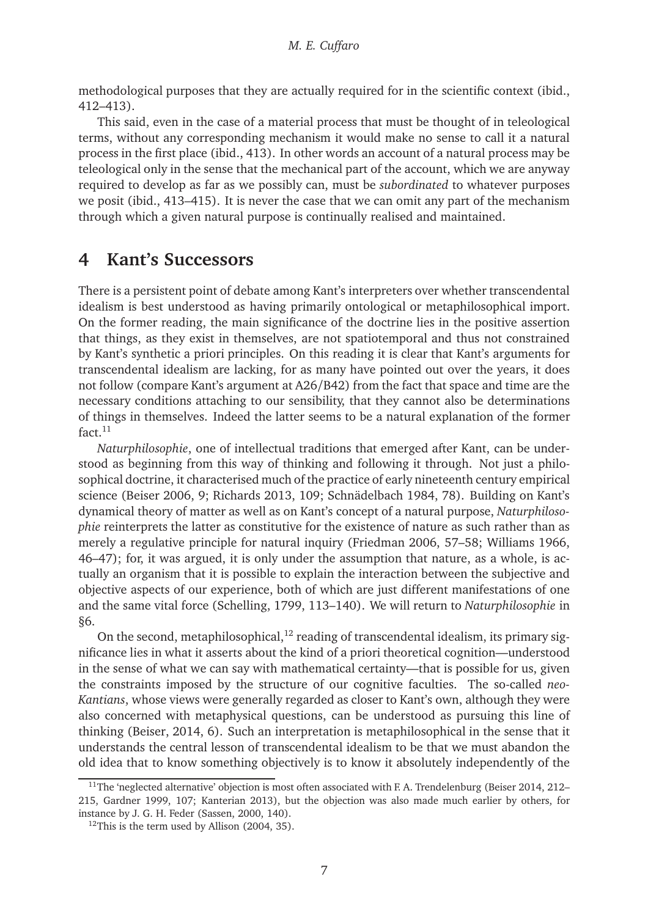methodological purposes that they are actually required for in the scientific context (ibid., 412–413).

This said, even in the case of a material process that must be thought of in teleological terms, without any corresponding mechanism it would make no sense to call it a natural process in the first place (ibid., 413). In other words an account of a natural process may be teleological only in the sense that the mechanical part of the account, which we are anyway required to develop as far as we possibly can, must be *subordinated* to whatever purposes we posit (ibid., 413–415). It is never the case that we can omit any part of the mechanism through which a given natural purpose is continually realised and maintained.

### <span id="page-6-0"></span>**4 Kant's Successors**

There is a persistent point of debate among Kant's interpreters over whether transcendental idealism is best understood as having primarily ontological or metaphilosophical import. On the former reading, the main significance of the doctrine lies in the positive assertion that things, as they exist in themselves, are not spatiotemporal and thus not constrained by Kant's synthetic a priori principles. On this reading it is clear that Kant's arguments for transcendental idealism are lacking, for as many have pointed out over the years, it does not follow (compare Kant's argument at A26/B42) from the fact that space and time are the necessary conditions attaching to our sensibility, that they cannot also be determinations of things in themselves. Indeed the latter seems to be a natural explanation of the former  $fact.<sup>11</sup>$  $fact.<sup>11</sup>$  $fact.<sup>11</sup>$ 

*Naturphilosophie*, one of intellectual traditions that emerged after Kant, can be understood as beginning from this way of thinking and following it through. Not just a philosophical doctrine, it characterised much of the practice of early nineteenth century empirical science [\(Beiser 2006](#page-12-3), 9; [Richards 2013,](#page-14-4) 109; [Schnädelbach 1984](#page-14-5), 78). Building on Kant's dynamical theory of matter as well as on Kant's concept of a natural purpose, *Naturphilosophie* reinterprets the latter as constitutive for the existence of nature as such rather than as merely a regulative principle for natural inquiry [\(Friedman 2006,](#page-12-4) 57–58; [Williams 1966,](#page-15-1) 46–47); for, it was argued, it is only under the assumption that nature, as a whole, is actually an organism that it is possible to explain the interaction between the subjective and objective aspects of our experience, both of which are just different manifestations of one and the same vital force [\(Schelling](#page-14-6), [1799,](#page-14-6) 113–140). We will return to *Naturphilosophie* in [§6.](#page-10-0)

On the second, metaphilosophical,  $12$  reading of transcendental idealism, its primary significance lies in what it asserts about the kind of a priori theoretical cognition—understood in the sense of what we can say with mathematical certainty—that is possible for us, given the constraints imposed by the structure of our cognitive faculties. The so-called *neo-Kantians*, whose views were generally regarded as closer to Kant's own, although they were also concerned with metaphysical questions, can be understood as pursuing this line of thinking [\(Beiser](#page-12-5), [2014,](#page-12-5) 6). Such an interpretation is metaphilosophical in the sense that it understands the central lesson of transcendental idealism to be that we must abandon the old idea that to know something objectively is to know it absolutely independently of the

<span id="page-6-1"></span> $11$ The 'neglected alternative' objection is most often associated with F. A. Trendelenburg [\(Beiser 2014](#page-12-5), 212– 215, [Gardner 1999](#page-13-7), 107; [Kanterian 2013\)](#page-14-7), but the objection was also made much earlier by others, for instance by J. G. H. Feder [\(Sassen](#page-14-8), [2000,](#page-14-8) 140).

<span id="page-6-2"></span> $12$ This is the term used by [Allison](#page-12-0) [\(2004,](#page-12-0) 35).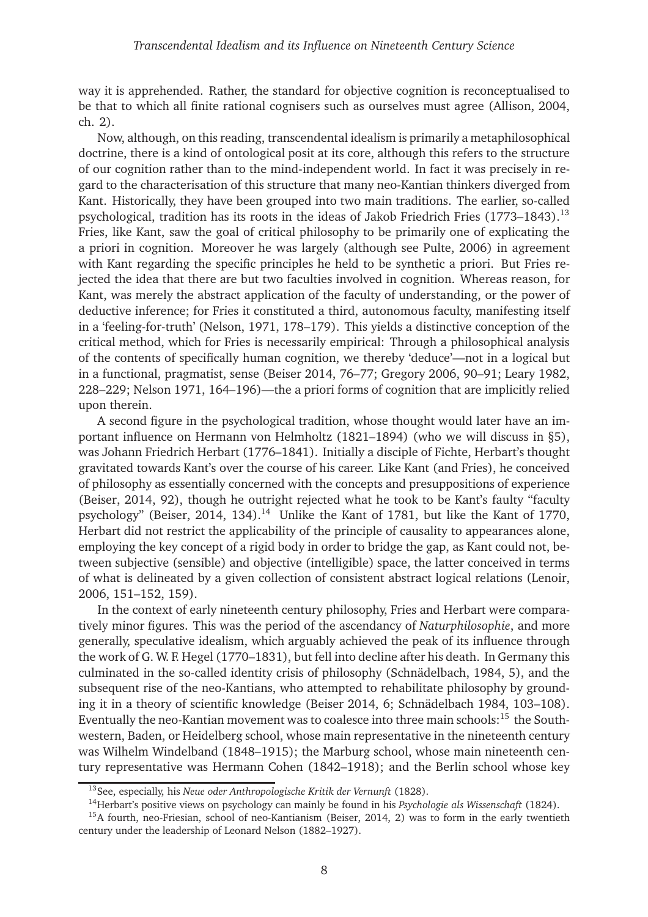way it is apprehended. Rather, the standard for objective cognition is reconceptualised to be that to which all finite rational cognisers such as ourselves must agree [\(Allison, 2004,](#page-12-0) ch. 2).

Now, although, on this reading, transcendental idealism is primarily a metaphilosophical doctrine, there is a kind of ontological posit at its core, although this refers to the structure of our cognition rather than to the mind-independent world. In fact it was precisely in regard to the characterisation of this structure that many neo-Kantian thinkers diverged from Kant. Historically, they have been grouped into two main traditions. The earlier, so-called psychological, tradition has its roots in the ideas of Jakob Friedrich Fries  $(1773-1843).$ <sup>[13](#page-7-0)</sup> Fries, like Kant, saw the goal of critical philosophy to be primarily one of explicating the a priori in cognition. Moreover he was largely (although see [Pulte](#page-14-9), [2006](#page-14-9)) in agreement with Kant regarding the specific principles he held to be synthetic a priori. But Fries rejected the idea that there are but two faculties involved in cognition. Whereas reason, for Kant, was merely the abstract application of the faculty of understanding, or the power of deductive inference; for Fries it constituted a third, autonomous faculty, manifesting itself in a 'feeling-for-truth' [\(Nelson, 1971](#page-14-10), 178–179). This yields a distinctive conception of the critical method, which for Fries is necessarily empirical: Through a philosophical analysis of the contents of specifically human cognition, we thereby 'deduce'—not in a logical but in a functional, pragmatist, sense [\(Beiser 2014](#page-12-5), 76–77; [Gregory 2006](#page-13-8), 90–91; [Leary 1982,](#page-14-11) 228–229; [Nelson 1971](#page-14-10), 164–196)—the a priori forms of cognition that are implicitly relied upon therein.

A second figure in the psychological tradition, whose thought would later have an important influence on Hermann von Helmholtz (1821–1894) (who we will discuss in [§5\)](#page-8-0), was Johann Friedrich Herbart (1776–1841). Initially a disciple of Fichte, Herbart's thought gravitated towards Kant's over the course of his career. Like Kant (and Fries), he conceived of philosophy as essentially concerned with the concepts and presuppositions of experience [\(Beiser](#page-12-5), [2014,](#page-12-5) 92), though he outright rejected what he took to be Kant's faulty "faculty psychology" [\(Beiser, 2014,](#page-12-5) 134).<sup>[14](#page-7-1)</sup> Unlike the Kant of 1781, but like the Kant of 1770, Herbart did not restrict the applicability of the principle of causality to appearances alone, employing the key concept of a rigid body in order to bridge the gap, as Kant could not, between subjective (sensible) and objective (intelligible) space, the latter conceived in terms of what is delineated by a given collection of consistent abstract logical relations [\(Lenoir](#page-14-12), [2006](#page-14-12), 151–152, 159).

In the context of early nineteenth century philosophy, Fries and Herbart were comparatively minor figures. This was the period of the ascendancy of *Naturphilosophie*, and more generally, speculative idealism, which arguably achieved the peak of its influence through the work of G. W. F. Hegel (1770–1831), but fell into decline after his death. In Germany this culminated in the so-called identity crisis of philosophy [\(Schnädelbach](#page-14-5), [1984](#page-14-5), 5), and the subsequent rise of the neo-Kantians, who attempted to rehabilitate philosophy by grounding it in a theory of scientific knowledge [\(Beiser 2014,](#page-12-5) 6; [Schnädelbach 1984](#page-14-5), 103–108). Eventually the neo-Kantian movement was to coalesce into three main schools:<sup>[15](#page-7-2)</sup> the Southwestern, Baden, or Heidelberg school, whose main representative in the nineteenth century was Wilhelm Windelband (1848–1915); the Marburg school, whose main nineteenth century representative was Hermann Cohen (1842–1918); and the Berlin school whose key

<sup>13</sup>See, especially, his *Neue oder Anthropologische Kritik der Vernunft* [\(1828](#page-13-9)).

<span id="page-7-1"></span><span id="page-7-0"></span><sup>14</sup>Herbart's positive views on psychology can mainly be found in his *Psychologie als Wissenschaft* [\(1824](#page-13-10)).

<span id="page-7-2"></span><sup>15</sup>A fourth, neo-Friesian, school of neo-Kantianism [\(Beiser,](#page-12-5) [2014](#page-12-5), 2) was to form in the early twentieth century under the leadership of Leonard Nelson (1882–1927).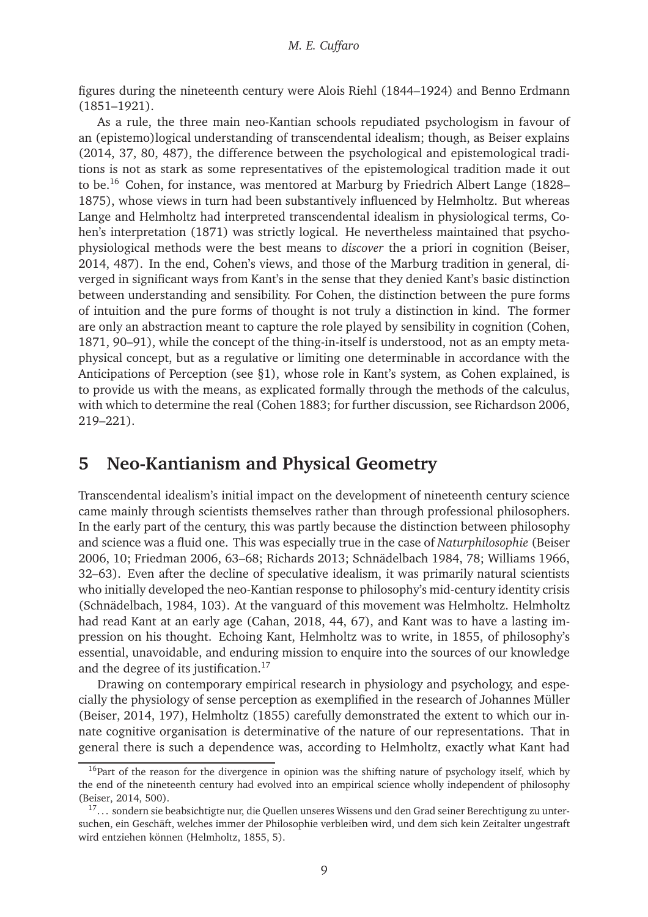figures during the nineteenth century were Alois Riehl (1844–1924) and Benno Erdmann (1851–1921).

As a rule, the three main neo-Kantian schools repudiated psychologism in favour of an (epistemo)logical understanding of transcendental idealism; though, as Beiser explains [\(2014](#page-12-5), 37, 80, 487), the difference between the psychological and epistemological traditions is not as stark as some representatives of the epistemological tradition made it out to be.[16](#page-8-1) Cohen, for instance, was mentored at Marburg by Friedrich Albert Lange (1828– 1875), whose views in turn had been substantively influenced by Helmholtz. But whereas Lange and Helmholtz had interpreted transcendental idealism in physiological terms, Cohen's interpretation [\(1871\)](#page-12-6) was strictly logical. He nevertheless maintained that psychophysiological methods were the best means to *discover* the a priori in cognition [\(Beiser](#page-12-5), [2014](#page-12-5), 487). In the end, Cohen's views, and those of the Marburg tradition in general, diverged in significant ways from Kant's in the sense that they denied Kant's basic distinction between understanding and sensibility. For Cohen, the distinction between the pure forms of intuition and the pure forms of thought is not truly a distinction in kind. The former are only an abstraction meant to capture the role played by sensibility in cognition [\(Cohen](#page-12-6), [1871](#page-12-6), 90–91), while the concept of the thing-in-itself is understood, not as an empty metaphysical concept, but as a regulative or limiting one determinable in accordance with the Anticipations of Perception (see [§1\)](#page-0-0), whose role in Kant's system, as Cohen explained, is to provide us with the means, as explicated formally through the methods of the calculus, with which to determine the real [\(Cohen 1883](#page-12-7); for further discussion, see [Richardson 2006,](#page-14-13) 219–221).

### <span id="page-8-0"></span>**5 Neo-Kantianism and Physical Geometry**

Transcendental idealism's initial impact on the development of nineteenth century science came mainly through scientists themselves rather than through professional philosophers. In the early part of the century, this was partly because the distinction between philosophy and science was a fluid one. This was especially true in the case of *Naturphilosophie* [\(Beiser](#page-12-3) [2006](#page-12-3), 10; [Friedman 2006](#page-12-4), 63–68; [Richards 2013;](#page-14-4) [Schnädelbach 1984,](#page-14-5) 78; [Williams 1966,](#page-15-1) 32–63). Even after the decline of speculative idealism, it was primarily natural scientists who initially developed the neo-Kantian response to philosophy's mid-century identity crisis [\(Schnädelbach](#page-14-5), [1984,](#page-14-5) 103). At the vanguard of this movement was Helmholtz. Helmholtz had read Kant at an early age [\(Cahan, 2018](#page-12-8), 44, 67), and Kant was to have a lasting impression on his thought. Echoing Kant, Helmholtz was to write, in 1855, of philosophy's essential, unavoidable, and enduring mission to enquire into the sources of our knowledge and the degree of its justification.<sup>[17](#page-8-2)</sup>

Drawing on contemporary empirical research in physiology and psychology, and especially the physiology of sense perception as exemplified in the research of Johannes Müller [\(Beiser](#page-12-5), [2014](#page-12-5), 197), [Helmholtz](#page-13-11) [\(1855\)](#page-13-11) carefully demonstrated the extent to which our innate cognitive organisation is determinative of the nature of our representations. That in general there is such a dependence was, according to Helmholtz, exactly what Kant had

<span id="page-8-1"></span> $16$ Part of the reason for the divergence in opinion was the shifting nature of psychology itself, which by the end of the nineteenth century had evolved into an empirical science wholly independent of philosophy [\(Beiser](#page-12-5), [2014,](#page-12-5) 500).

<span id="page-8-2"></span><sup>&</sup>lt;sup>17</sup>... sondern sie beabsichtigte nur, die Quellen unseres Wissens und den Grad seiner Berechtigung zu untersuchen, ein Geschäft, welches immer der Philosophie verbleiben wird, und dem sich kein Zeitalter ungestraft wird entziehen können [\(Helmholtz](#page-13-11), [1855,](#page-13-11) 5).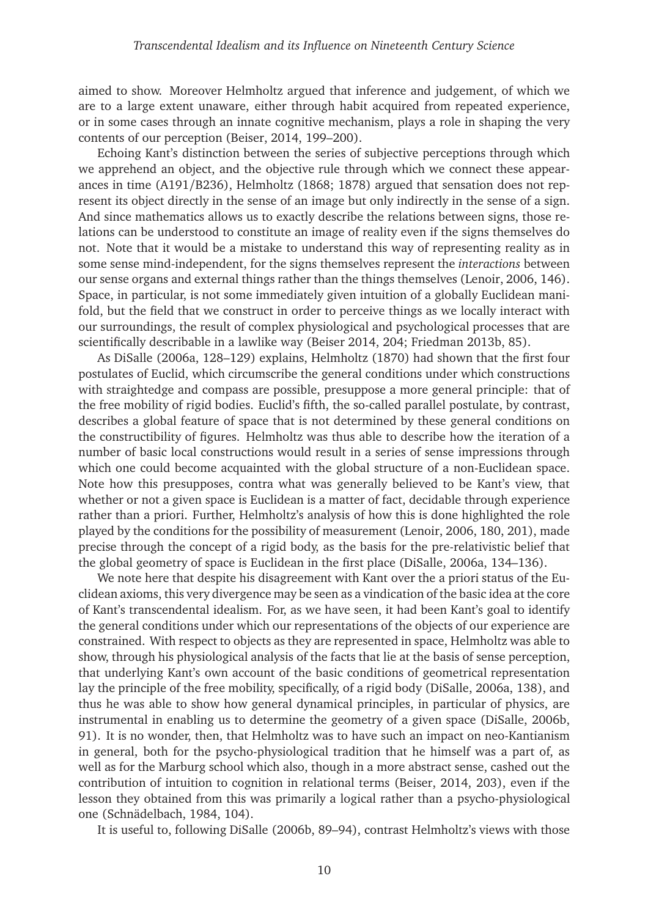aimed to show. Moreover Helmholtz argued that inference and judgement, of which we are to a large extent unaware, either through habit acquired from repeated experience, or in some cases through an innate cognitive mechanism, plays a role in shaping the very contents of our perception [\(Beiser, 2014](#page-12-5), 199–200).

Echoing Kant's distinction between the series of subjective perceptions through which we apprehend an object, and the objective rule through which we connect these appearances in time (A191/B236), Helmholtz [\(1868](#page-13-12); [1878\)](#page-13-13) argued that sensation does not represent its object directly in the sense of an image but only indirectly in the sense of a sign. And since mathematics allows us to exactly describe the relations between signs, those relations can be understood to constitute an image of reality even if the signs themselves do not. Note that it would be a mistake to understand this way of representing reality as in some sense mind-independent, for the signs themselves represent the *interactions* between our sense organs and external things rather than the things themselves [\(Lenoir](#page-14-12), [2006](#page-14-12), 146). Space, in particular, is not some immediately given intuition of a globally Euclidean manifold, but the field that we construct in order to perceive things as we locally interact with our surroundings, the result of complex physiological and psychological processes that are scientifically describable in a lawlike way [\(Beiser 2014](#page-12-5), 204; [Friedman 2013b](#page-13-14), 85).

As [DiSalle](#page-12-9) [\(2006a,](#page-12-9) 128–129) explains, [Helmholtz](#page-13-15) [\(1870](#page-13-15)) had shown that the first four postulates of Euclid, which circumscribe the general conditions under which constructions with straightedge and compass are possible, presuppose a more general principle: that of the free mobility of rigid bodies. Euclid's fifth, the so-called parallel postulate, by contrast, describes a global feature of space that is not determined by these general conditions on the constructibility of figures. Helmholtz was thus able to describe how the iteration of a number of basic local constructions would result in a series of sense impressions through which one could become acquainted with the global structure of a non-Euclidean space. Note how this presupposes, contra what was generally believed to be Kant's view, that whether or not a given space is Euclidean is a matter of fact, decidable through experience rather than a priori. Further, Helmholtz's analysis of how this is done highlighted the role played by the conditions for the possibility of measurement [\(Lenoir, 2006,](#page-14-12) 180, 201), made precise through the concept of a rigid body, as the basis for the pre-relativistic belief that the global geometry of space is Euclidean in the first place [\(DiSalle, 2006a](#page-12-9), 134–136).

We note here that despite his disagreement with Kant over the a priori status of the Euclidean axioms, this very divergence may be seen as a vindication of the basic idea at the core of Kant's transcendental idealism. For, as we have seen, it had been Kant's goal to identify the general conditions under which our representations of the objects of our experience are constrained. With respect to objects as they are represented in space, Helmholtz was able to show, through his physiological analysis of the facts that lie at the basis of sense perception, that underlying Kant's own account of the basic conditions of geometrical representation lay the principle of the free mobility, specifically, of a rigid body [\(DiSalle, 2006a,](#page-12-9) 138), and thus he was able to show how general dynamical principles, in particular of physics, are instrumental in enabling us to determine the geometry of a given space [\(DiSalle](#page-12-10), [2006b](#page-12-10), 91). It is no wonder, then, that Helmholtz was to have such an impact on neo-Kantianism in general, both for the psycho-physiological tradition that he himself was a part of, as well as for the Marburg school which also, though in a more abstract sense, cashed out the contribution of intuition to cognition in relational terms [\(Beiser](#page-12-5), [2014,](#page-12-5) 203), even if the lesson they obtained from this was primarily a logical rather than a psycho-physiological one [\(Schnädelbach, 1984](#page-14-5), 104).

It is useful to, following [DiSalle](#page-12-10) [\(2006b,](#page-12-10) 89–94), contrast Helmholtz's views with those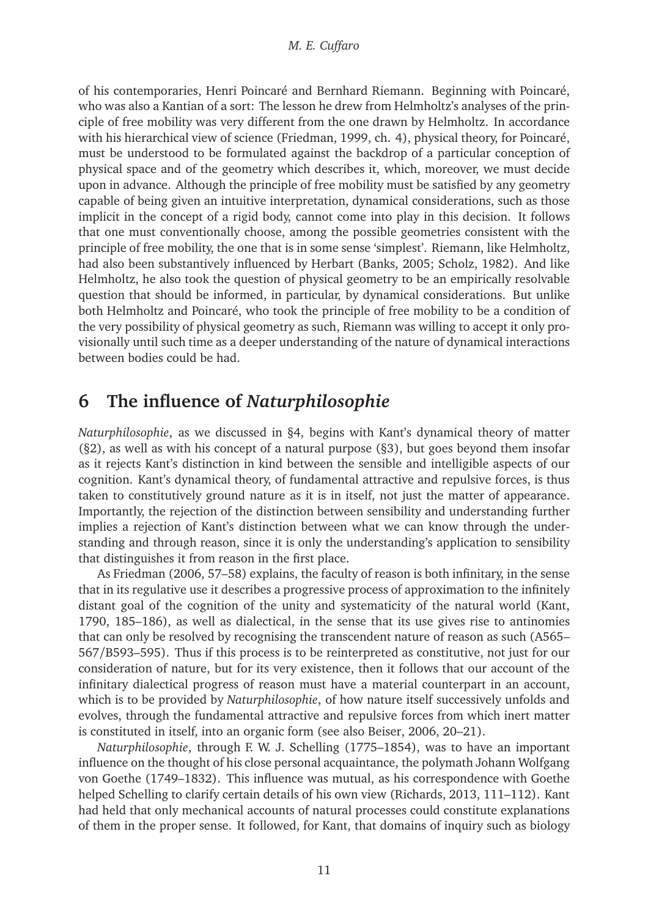of his contemporaries, Henri Poincaré and Bernhard Riemann. Beginning with Poincaré, who was also a Kantian of a sort: The lesson he drew from Helmholtz's analyses of the principle of free mobility was very different from the one drawn by Helmholtz. In accordance with his hierarchical view of science [\(Friedman](#page-12-11), [1999,](#page-12-11) ch. 4), physical theory, for Poincaré, must be understood to be formulated against the backdrop of a particular conception of physical space and of the geometry which describes it, which, moreover, we must decide upon in advance. Although the principle of free mobility must be satisfied by any geometry capable of being given an intuitive interpretation, dynamical considerations, such as those implicit in the concept of a rigid body, cannot come into play in this decision. It follows that one must conventionally choose, among the possible geometries consistent with the principle of free mobility, the one that is in some sense 'simplest'. Riemann, like Helmholtz, had also been substantively influenced by Herbart [\(Banks, 2005](#page-12-12); [Scholz](#page-14-14), [1982\)](#page-14-14). And like Helmholtz, he also took the question of physical geometry to be an empirically resolvable question that should be informed, in particular, by dynamical considerations. But unlike both Helmholtz and Poincaré, who took the principle of free mobility to be a condition of the very possibility of physical geometry as such, Riemann was willing to accept it only provisionally until such time as a deeper understanding of the nature of dynamical interactions between bodies could be had.

# <span id="page-10-0"></span>**6 The influence of** *Naturphilosophie*

*Naturphilosophie*, as we discussed in [§4,](#page-6-0) begins with Kant's dynamical theory of matter ([§2\)](#page-2-0), as well as with his concept of a natural purpose ([§3\)](#page-4-0), but goes beyond them insofar as it rejects Kant's distinction in kind between the sensible and intelligible aspects of our cognition. Kant's dynamical theory, of fundamental attractive and repulsive forces, is thus taken to constitutively ground nature as it is in itself, not just the matter of appearance. Importantly, the rejection of the distinction between sensibility and understanding further implies a rejection of Kant's distinction between what we can know through the understanding and through reason, since it is only the understanding's application to sensibility that distinguishes it from reason in the first place.

As [Friedman](#page-12-4) [\(2006,](#page-12-4) 57–58) explains, the faculty of reason is both infinitary, in the sense that in its regulative use it describes a progressive process of approximation to the infinitely distant goal of the cognition of the unity and systematicity of the natural world [\(Kant,](#page-14-1) [1790](#page-14-1), 185–186), as well as dialectical, in the sense that its use gives rise to antinomies that can only be resolved by recognising the transcendent nature of reason as such (A565– 567/B593–595). Thus if this process is to be reinterpreted as constitutive, not just for our consideration of nature, but for its very existence, then it follows that our account of the infinitary dialectical progress of reason must have a material counterpart in an account, which is to be provided by *Naturphilosophie*, of how nature itself successively unfolds and evolves, through the fundamental attractive and repulsive forces from which inert matter is constituted in itself, into an organic form (see also [Beiser, 2006](#page-12-3), 20–21).

*Naturphilosophie*, through F. W. J. Schelling (1775–1854), was to have an important influence on the thought of his close personal acquaintance, the polymath Johann Wolfgang von Goethe (1749–1832). This influence was mutual, as his correspondence with Goethe helped Schelling to clarify certain details of his own view [\(Richards](#page-14-4), [2013,](#page-14-4) 111–112). Kant had held that only mechanical accounts of natural processes could constitute explanations of them in the proper sense. It followed, for Kant, that domains of inquiry such as biology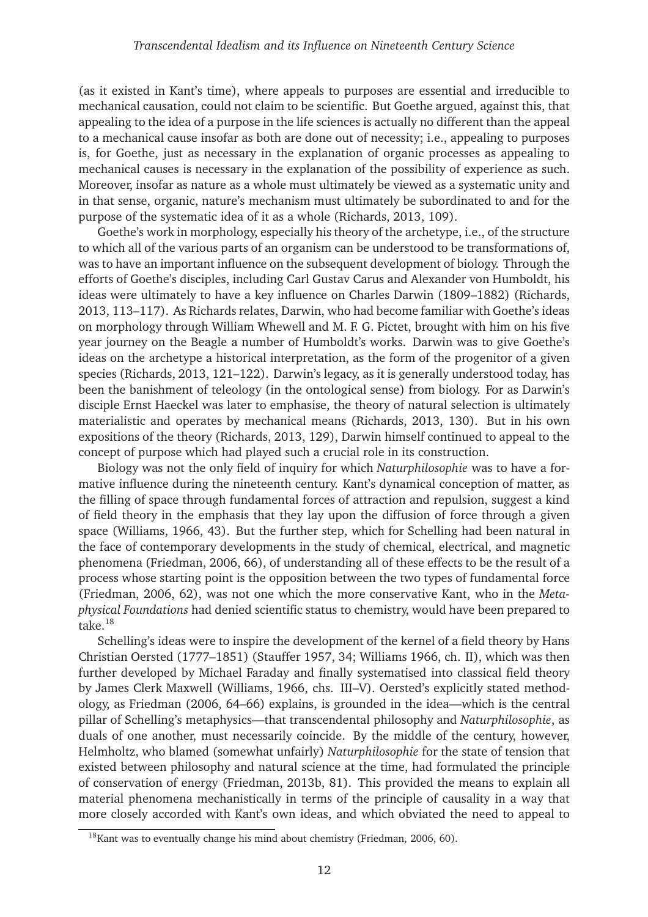(as it existed in Kant's time), where appeals to purposes are essential and irreducible to mechanical causation, could not claim to be scientific. But Goethe argued, against this, that appealing to the idea of a purpose in the life sciences is actually no different than the appeal to a mechanical cause insofar as both are done out of necessity; i.e., appealing to purposes is, for Goethe, just as necessary in the explanation of organic processes as appealing to mechanical causes is necessary in the explanation of the possibility of experience as such. Moreover, insofar as nature as a whole must ultimately be viewed as a systematic unity and in that sense, organic, nature's mechanism must ultimately be subordinated to and for the purpose of the systematic idea of it as a whole [\(Richards, 2013,](#page-14-4) 109).

Goethe's work in morphology, especially his theory of the archetype, i.e., of the structure to which all of the various parts of an organism can be understood to be transformations of, was to have an important influence on the subsequent development of biology. Through the efforts of Goethe's disciples, including Carl Gustav Carus and Alexander von Humboldt, his ideas were ultimately to have a key influence on Charles Darwin (1809–1882) [\(Richards](#page-14-4), [2013](#page-14-4), 113–117). As Richards relates, Darwin, who had become familiar with Goethe's ideas on morphology through William Whewell and M. F. G. Pictet, brought with him on his five year journey on the Beagle a number of Humboldt's works. Darwin was to give Goethe's ideas on the archetype a historical interpretation, as the form of the progenitor of a given species [\(Richards](#page-14-4), [2013](#page-14-4), 121–122). Darwin's legacy, as it is generally understood today, has been the banishment of teleology (in the ontological sense) from biology. For as Darwin's disciple Ernst Haeckel was later to emphasise, the theory of natural selection is ultimately materialistic and operates by mechanical means [\(Richards,](#page-14-4) [2013,](#page-14-4) 130). But in his own expositions of the theory [\(Richards, 2013](#page-14-4), 129), Darwin himself continued to appeal to the concept of purpose which had played such a crucial role in its construction.

Biology was not the only field of inquiry for which *Naturphilosophie* was to have a formative influence during the nineteenth century. Kant's dynamical conception of matter, as the filling of space through fundamental forces of attraction and repulsion, suggest a kind of field theory in the emphasis that they lay upon the diffusion of force through a given space [\(Williams](#page-15-1), [1966](#page-15-1), 43). But the further step, which for Schelling had been natural in the face of contemporary developments in the study of chemical, electrical, and magnetic phenomena [\(Friedman](#page-12-4), [2006,](#page-12-4) 66), of understanding all of these effects to be the result of a process whose starting point is the opposition between the two types of fundamental force [\(Friedman, 2006](#page-12-4), 62), was not one which the more conservative Kant, who in the *Metaphysical Foundations* had denied scientific status to chemistry, would have been prepared to take.[18](#page-11-0)

Schelling's ideas were to inspire the development of the kernel of a field theory by Hans Christian Oersted (1777–1851) [\(Stauffer 1957,](#page-14-15) 34; [Williams 1966](#page-15-1), ch. II), which was then further developed by Michael Faraday and finally systematised into classical field theory by James Clerk Maxwell [\(Williams](#page-15-1), [1966,](#page-15-1) chs. III–V). Oersted's explicitly stated methodology, as [Friedman](#page-12-4) [\(2006,](#page-12-4) 64–66) explains, is grounded in the idea—which is the central pillar of Schelling's metaphysics—that transcendental philosophy and *Naturphilosophie*, as duals of one another, must necessarily coincide. By the middle of the century, however, Helmholtz, who blamed (somewhat unfairly) *Naturphilosophie* for the state of tension that existed between philosophy and natural science at the time, had formulated the principle of conservation of energy [\(Friedman, 2013b](#page-13-14), 81). This provided the means to explain all material phenomena mechanistically in terms of the principle of causality in a way that more closely accorded with Kant's own ideas, and which obviated the need to appeal to

<span id="page-11-0"></span> $18$ Kant was to eventually change his mind about chemistry [\(Friedman](#page-12-4), [2006,](#page-12-4) 60).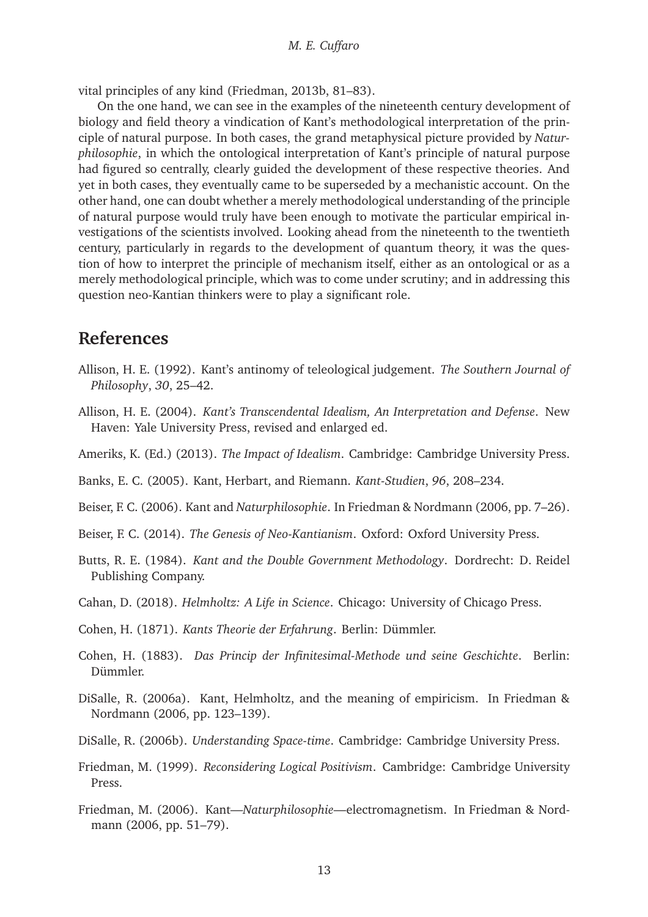vital principles of any kind [\(Friedman](#page-13-14), [2013b](#page-13-14), 81–83).

On the one hand, we can see in the examples of the nineteenth century development of biology and field theory a vindication of Kant's methodological interpretation of the principle of natural purpose. In both cases, the grand metaphysical picture provided by *Naturphilosophie*, in which the ontological interpretation of Kant's principle of natural purpose had figured so centrally, clearly guided the development of these respective theories. And yet in both cases, they eventually came to be superseded by a mechanistic account. On the other hand, one can doubt whether a merely methodological understanding of the principle of natural purpose would truly have been enough to motivate the particular empirical investigations of the scientists involved. Looking ahead from the nineteenth to the twentieth century, particularly in regards to the development of quantum theory, it was the question of how to interpret the principle of mechanism itself, either as an ontological or as a merely methodological principle, which was to come under scrutiny; and in addressing this question neo-Kantian thinkers were to play a significant role.

### **References**

- <span id="page-12-1"></span>Allison, H. E. (1992). Kant's antinomy of teleological judgement. *The Southern Journal of Philosophy*, *30*, 25–42.
- <span id="page-12-0"></span>Allison, H. E. (2004). *Kant's Transcendental Idealism, An Interpretation and Defense*. New Haven: Yale University Press, revised and enlarged ed.
- <span id="page-12-13"></span>Ameriks, K. (Ed.) (2013). *The Impact of Idealism*. Cambridge: Cambridge University Press.
- <span id="page-12-12"></span>Banks, E. C. (2005). Kant, Herbart, and Riemann. *Kant-Studien*, *96*, 208–234.
- <span id="page-12-3"></span>Beiser, F. C. (2006). Kant and *Naturphilosophie*. In [Friedman & Nordmann](#page-13-16) [\(2006](#page-13-16), pp. 7–26).
- <span id="page-12-5"></span>Beiser, F. C. (2014). *The Genesis of Neo-Kantianism*. Oxford: Oxford University Press.
- <span id="page-12-2"></span>Butts, R. E. (1984). *Kant and the Double Government Methodology*. Dordrecht: D. Reidel Publishing Company.
- <span id="page-12-8"></span>Cahan, D. (2018). *Helmholtz: A Life in Science*. Chicago: University of Chicago Press.
- <span id="page-12-6"></span>Cohen, H. (1871). *Kants Theorie der Erfahrung*. Berlin: Dümmler.
- <span id="page-12-7"></span>Cohen, H. (1883). *Das Princip der Infinitesimal-Methode und seine Geschichte*. Berlin: Dümmler.
- <span id="page-12-9"></span>DiSalle, R. ([2006a\). Kant, Helmholtz, and the meaning of empiricism. In](#page-13-16) Friedman & Nordmann [\(2006,](#page-13-16) pp. 123–139).
- <span id="page-12-10"></span>DiSalle, R. (2006b). *Understanding Space-time*. Cambridge: Cambridge University Press.
- <span id="page-12-11"></span>Friedman, M. (1999). *Reconsidering Logical Positivism*. Cambridge: Cambridge University Press.
- <span id="page-12-4"></span>Friedman, M. (2006). Kant—*Naturphilosophie*[—electromagnetism. In](#page-13-16) Friedman & Nordmann [\(2006,](#page-13-16) pp. 51–79).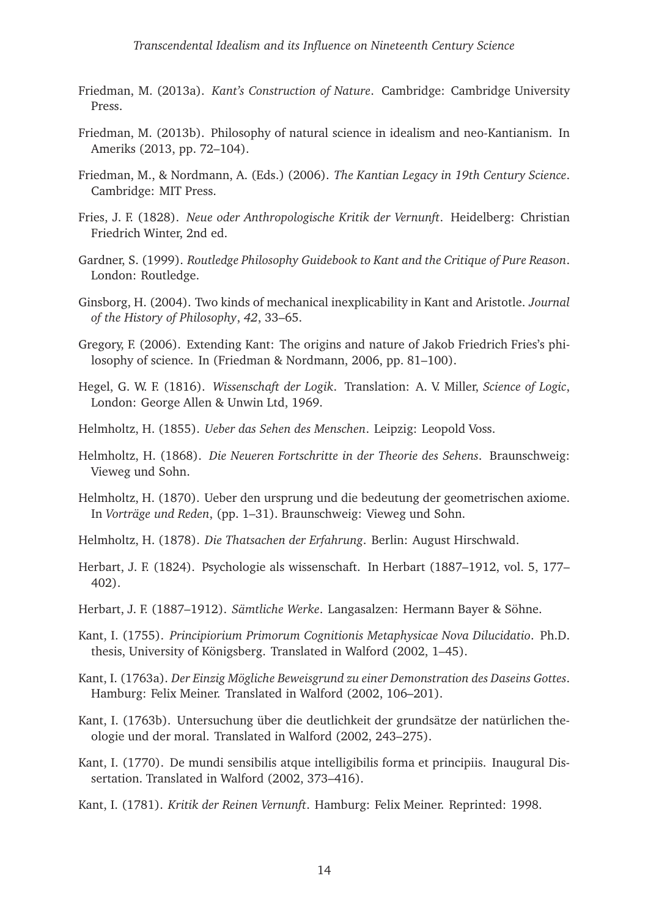- <span id="page-13-4"></span>Friedman, M. (2013a). *Kant's Construction of Nature*. Cambridge: Cambridge University Press.
- <span id="page-13-14"></span>Friedman, M. (2013b). Philosophy of natural science in idealism and neo-Kantianism. In [Ameriks](#page-12-13) [\(2013,](#page-12-13) pp. 72–104).
- <span id="page-13-16"></span>Friedman, M., & Nordmann, A. (Eds.) (2006). *The Kantian Legacy in 19th Century Science*. Cambridge: MIT Press.
- <span id="page-13-9"></span>Fries, J. F. (1828). *Neue oder Anthropologische Kritik der Vernunft*. Heidelberg: Christian Friedrich Winter, 2nd ed.
- <span id="page-13-7"></span>Gardner, S. (1999). *Routledge Philosophy Guidebook to Kant and the Critique of Pure Reason*. London: Routledge.
- <span id="page-13-6"></span>Ginsborg, H. (2004). Two kinds of mechanical inexplicability in Kant and Aristotle. *Journal of the History of Philosophy*, *42*, 33–65.
- <span id="page-13-8"></span>Gregory, F. (2006). Extending Kant: The origins and nature of Jakob Friedrich Fries's philosophy of science. In [\(Friedman & Nordmann, 2006](#page-13-16), pp. 81–100).
- <span id="page-13-5"></span>Hegel, G. W. F. (1816). *Wissenschaft der Logik*. Translation: A. V. Miller, *Science of Logic*, London: George Allen & Unwin Ltd, 1969.
- <span id="page-13-11"></span>Helmholtz, H. (1855). *Ueber das Sehen des Menschen*. Leipzig: Leopold Voss.
- <span id="page-13-12"></span>Helmholtz, H. (1868). *Die Neueren Fortschritte in der Theorie des Sehens*. Braunschweig: Vieweg und Sohn.
- <span id="page-13-15"></span>Helmholtz, H. (1870). Ueber den ursprung und die bedeutung der geometrischen axiome. In *Vorträge und Reden*, (pp. 1–31). Braunschweig: Vieweg und Sohn.
- <span id="page-13-13"></span>Helmholtz, H. (1878). *Die Thatsachen der Erfahrung*. Berlin: August Hirschwald.
- <span id="page-13-10"></span>Herbart, J. F. (1824). Psychologie als wissenschaft. In [Herbart](#page-13-17) [\(1887–1912,](#page-13-17) vol. 5, 177– 402).
- <span id="page-13-17"></span>Herbart, J. F. (1887–1912). *Sämtliche Werke*. Langasalzen: Hermann Bayer & Söhne.
- <span id="page-13-0"></span>Kant, I. (1755). *Principiorium Primorum Cognitionis Metaphysicae Nova Dilucidatio*. Ph.D. thesis, University of Königsberg. Translated in [Walford](#page-14-16) [\(2002](#page-14-16), 1–45).
- <span id="page-13-1"></span>Kant, I. (1763a). *Der Einzig Mögliche Beweisgrund zu einer Demonstration des Daseins Gottes*. Hamburg: Felix Meiner. Translated in [Walford](#page-14-16) [\(2002](#page-14-16), 106–201).
- <span id="page-13-2"></span>Kant, I. (1763b). Untersuchung über die deutlichkeit der grundsätze der natürlichen theologie und der moral. Translated in [Walford](#page-14-16) [\(2002](#page-14-16), 243–275).
- <span id="page-13-3"></span>Kant, I. (1770). De mundi sensibilis atque intelligibilis forma et principiis. Inaugural Dissertation. Translated in [Walford](#page-14-16) [\(2002,](#page-14-16) 373–416).
- Kant, I. (1781). *Kritik der Reinen Vernunft*. Hamburg: Felix Meiner. Reprinted: 1998.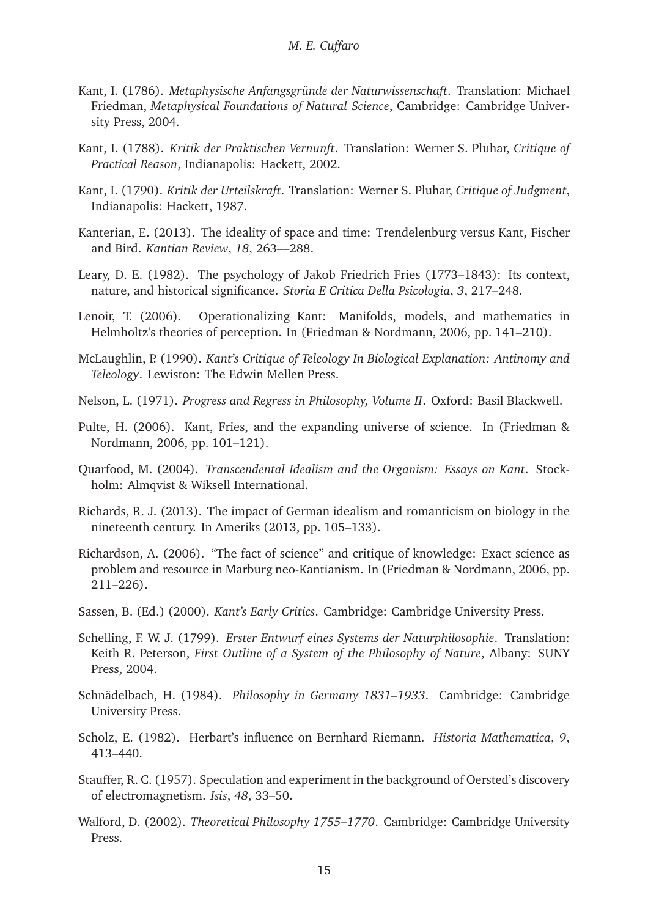- <span id="page-14-0"></span>Kant, I. (1786). *Metaphysische Anfangsgründe der Naturwissenschaft*. Translation: Michael Friedman, *Metaphysical Foundations of Natural Science*, Cambridge: Cambridge University Press, 2004.
- Kant, I. (1788). *Kritik der Praktischen Vernunft*. Translation: Werner S. Pluhar, *Critique of Practical Reason*, Indianapolis: Hackett, 2002.
- <span id="page-14-1"></span>Kant, I. (1790). *Kritik der Urteilskraft*. Translation: Werner S. Pluhar, *Critique of Judgment*, Indianapolis: Hackett, 1987.
- <span id="page-14-7"></span>Kanterian, E. (2013). The ideality of space and time: Trendelenburg versus Kant, Fischer and Bird. *Kantian Review*, *18*, 263––288.
- <span id="page-14-11"></span>Leary, D. E. (1982). The psychology of Jakob Friedrich Fries (1773–1843): Its context, nature, and historical significance. *Storia E Critica Della Psicologia*, *3*, 217–248.
- <span id="page-14-12"></span>Lenoir, T. (2006). Operationalizing Kant: Manifolds, models, and mathematics in Helmholtz's theories of perception. In [\(Friedman & Nordmann](#page-13-16), [2006](#page-13-16), pp. 141–210).
- <span id="page-14-2"></span>McLaughlin, P. (1990). *Kant's Critique of Teleology In Biological Explanation: Antinomy and Teleology*. Lewiston: The Edwin Mellen Press.
- <span id="page-14-10"></span>Nelson, L. (1971). *Progress and Regress in Philosophy, Volume II*. Oxford: Basil Blackwell.
- <span id="page-14-9"></span>Pulte, H. (2[006\). Kant, Fries, and the expanding universe of](#page-13-16) science. In (Friedman & Nordmann, [2006](#page-13-16), pp. 101–121).
- <span id="page-14-3"></span>Quarfood, M. (2004). *Transcendental Idealism and the Organism: Essays on Kant*. Stockholm: Almqvist & Wiksell International.
- <span id="page-14-4"></span>Richards, R. J. (2013). The impact of German idealism and romanticism on biology in the nineteenth century. In [Ameriks](#page-12-13) [\(2013](#page-12-13), pp. 105–133).
- <span id="page-14-13"></span>Richardson, A. (2006). "The fact of science" and critique of knowledge: Exact science as problem and resource in Marburg neo-Kantianism. In [\(Friedman & Nordmann](#page-13-16), [2006](#page-13-16), pp. 211–226).
- <span id="page-14-8"></span>Sassen, B. (Ed.) (2000). *Kant's Early Critics*. Cambridge: Cambridge University Press.
- <span id="page-14-6"></span>Schelling, F. W. J. (1799). *Erster Entwurf eines Systems der Naturphilosophie*. Translation: Keith R. Peterson, *First Outline of a System of the Philosophy of Nature*, Albany: SUNY Press, 2004.
- <span id="page-14-5"></span>Schnädelbach, H. (1984). *Philosophy in Germany 1831–1933*. Cambridge: Cambridge University Press.
- <span id="page-14-14"></span>Scholz, E. (1982). Herbart's influence on Bernhard Riemann. *Historia Mathematica*, *9*, 413–440.
- <span id="page-14-15"></span>Stauffer, R. C. (1957). Speculation and experiment in the background of Oersted's discovery of electromagnetism. *Isis*, *48*, 33–50.
- <span id="page-14-16"></span>Walford, D. (2002). *Theoretical Philosophy 1755–1770*. Cambridge: Cambridge University Press.